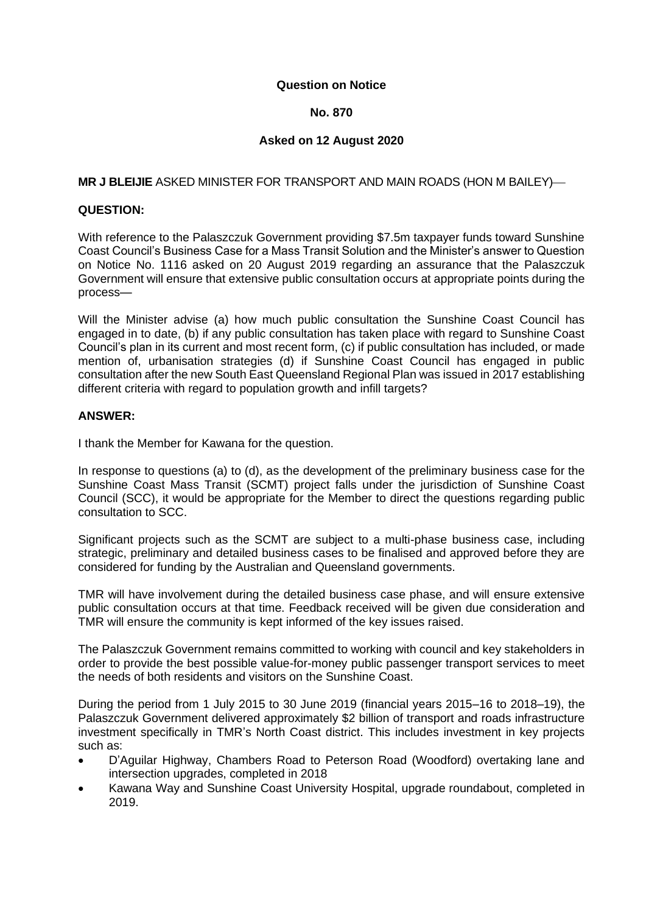#### **Question on Notice**

## **No. 870**

# **Asked on 12 August 2020**

# **MR J BLEIJIE** ASKED MINISTER FOR TRANSPORT AND MAIN ROADS (HON M BAILEY)—

## **QUESTION:**

With reference to the Palaszczuk Government providing \$7.5m taxpayer funds toward Sunshine Coast Council's Business Case for a Mass Transit Solution and the Minister's answer to Question on Notice No. 1116 asked on 20 August 2019 regarding an assurance that the Palaszczuk Government will ensure that extensive public consultation occurs at appropriate points during the process—

Will the Minister advise (a) how much public consultation the Sunshine Coast Council has engaged in to date, (b) if any public consultation has taken place with regard to Sunshine Coast Council's plan in its current and most recent form, (c) if public consultation has included, or made mention of, urbanisation strategies (d) if Sunshine Coast Council has engaged in public consultation after the new South East Queensland Regional Plan was issued in 2017 establishing different criteria with regard to population growth and infill targets?

#### **ANSWER:**

I thank the Member for Kawana for the question.

In response to questions (a) to (d), as the development of the preliminary business case for the Sunshine Coast Mass Transit (SCMT) project falls under the jurisdiction of Sunshine Coast Council (SCC), it would be appropriate for the Member to direct the questions regarding public consultation to SCC.

Significant projects such as the SCMT are subject to a multi-phase business case, including strategic, preliminary and detailed business cases to be finalised and approved before they are considered for funding by the Australian and Queensland governments.

TMR will have involvement during the detailed business case phase, and will ensure extensive public consultation occurs at that time. Feedback received will be given due consideration and TMR will ensure the community is kept informed of the key issues raised.

The Palaszczuk Government remains committed to working with council and key stakeholders in order to provide the best possible value-for-money public passenger transport services to meet the needs of both residents and visitors on the Sunshine Coast.

During the period from 1 July 2015 to 30 June 2019 (financial years 2015–16 to 2018–19), the Palaszczuk Government delivered approximately \$2 billion of transport and roads infrastructure investment specifically in TMR's North Coast district. This includes investment in key projects such as:

- D'Aguilar Highway, Chambers Road to Peterson Road (Woodford) overtaking lane and intersection upgrades, completed in 2018
- Kawana Way and Sunshine Coast University Hospital, upgrade roundabout, completed in 2019.